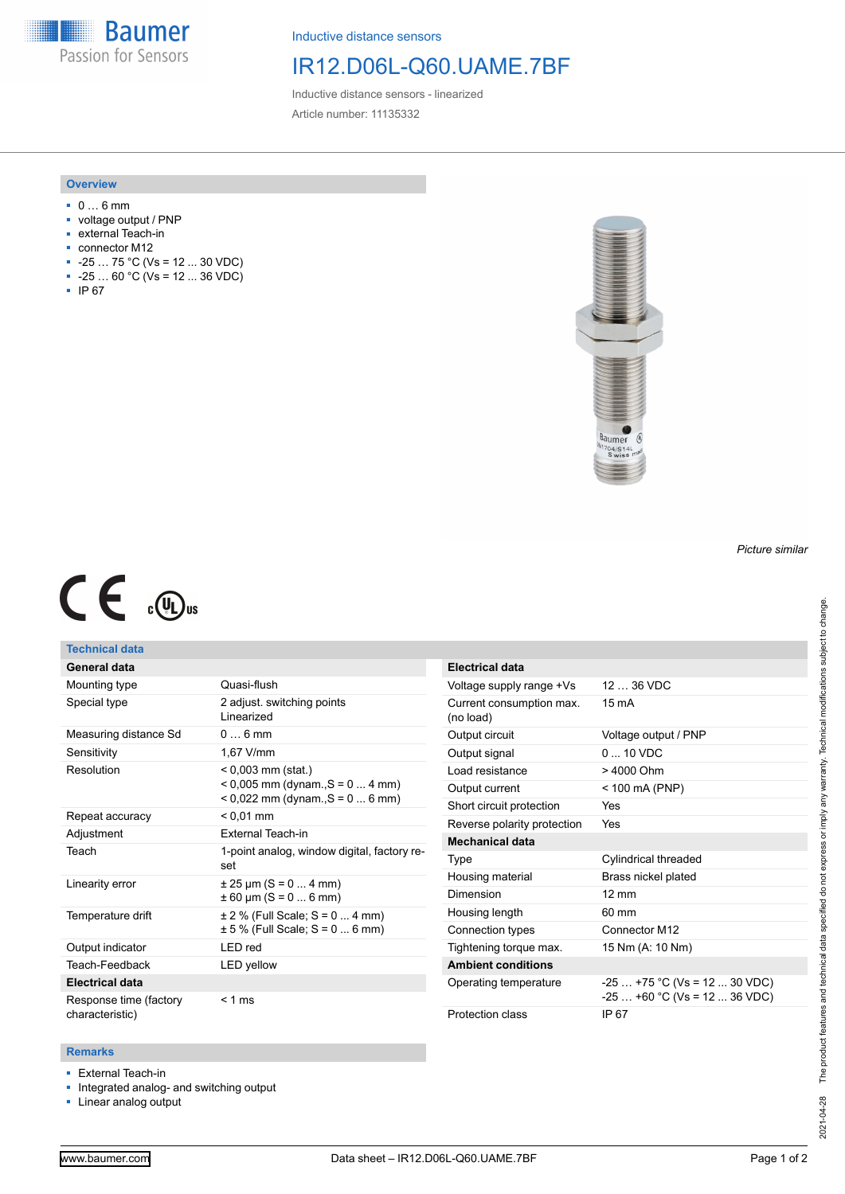**Baumer** Passion for Sensors

Inductive distance sensors

# IR12.D06L-Q60.UAME.7BF

Inductive distance sensors - linearized Article number: 11135332

### **Overview**

- 0 … 6 mm
- voltage output / PNP
- external Teach-in
- connector M12
- $-25...75 °C$  (Vs = 12 ... 30 VDC)
- $-25...60 °C$  (Vs = 12 ... 36 VDC)
- IP 67



#### *Picture similar*

# $C \in \mathbb{C}$

## **Technical data**

| General data           |                                                                                               |
|------------------------|-----------------------------------------------------------------------------------------------|
| Mounting type          | Quasi-flush                                                                                   |
| Special type           | 2 adjust. switching points<br>I inearized                                                     |
| Measuring distance Sd  | $0 \dots 6$ mm                                                                                |
| Sensitivity            | 1,67 V/mm                                                                                     |
| Resolution             | $< 0.003$ mm (stat.)<br>$0.005$ mm (dynam., S = 0  4 mm)<br>$0.022$ mm (dynam., $S = 0$ 6 mm) |
| Repeat accuracy        | $< 0.01$ mm                                                                                   |
| Adjustment             | External Teach-in                                                                             |
| Teach                  | 1-point analog, window digital, factory re-<br>set                                            |
|                        |                                                                                               |
| Linearity error        | $\pm 25 \,\mathrm{\upmu m}$ (S = 0  4 mm)<br>$\pm 60$ µm (S = 0  6 mm)                        |
| Temperature drift      | $\pm$ 2 % (Full Scale; S = 0  4 mm)<br>$\pm$ 5 % (Full Scale; S = 0  6 mm)                    |
| Output indicator       | <b>LED</b> red                                                                                |
| Teach-Feedback         | <b>LED</b> yellow                                                                             |
| <b>Electrical data</b> |                                                                                               |

| Electrical data                       |                                                                |
|---------------------------------------|----------------------------------------------------------------|
| Voltage supply range +Vs              | 12 36 VDC                                                      |
| Current consumption max.<br>(no load) | $15 \text{ mA}$                                                |
| Output circuit                        | Voltage output / PNP                                           |
| Output signal                         | $0 - 10$ VDC                                                   |
| Load resistance                       | > 4000 Ohm                                                     |
| Output current                        | < 100 mA (PNP)                                                 |
| Short circuit protection              | Yes                                                            |
| Reverse polarity protection           | Yes                                                            |
| Mechanical data                       |                                                                |
| Type                                  | Cylindrical threaded                                           |
| Housing material                      | Brass nickel plated                                            |
| Dimension                             | $12 \text{ mm}$                                                |
| Housing length                        | 60 mm                                                          |
| Connection types                      | Connector M12                                                  |
| Tightening torque max.                | 15 Nm (A: 10 Nm)                                               |
| <b>Ambient conditions</b>             |                                                                |
| Operating temperature                 | $-25+75$ °C (Vs = 12  30 VDC)<br>$-25+60$ °C (Vs = 12  36 VDC) |
| Protection class                      | IP 67                                                          |

#### **Remarks**

■ External Teach-in

■ Integrated analog- and switching output

■ Linear analog output